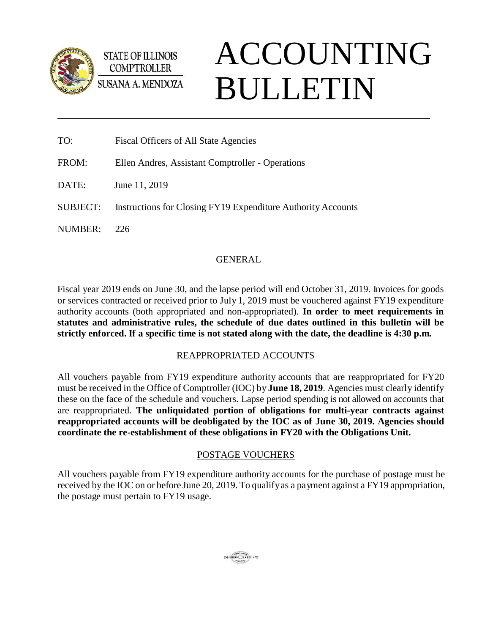

ACCOUNTING BULLETIN

| TO:   | <b>Fiscal Officers of All State Agencies</b>     |
|-------|--------------------------------------------------|
| FROM: | Ellen Andres, Assistant Comptroller - Operations |

DATE: June 11, 2019

**STATE OF ILLINOIS COMPTROLLER** 

SUBJECT: Instructions for Closing FY19 Expenditure Authority Accounts

NUMBER: 226

# GENERAL

Fiscal year 2019 ends on June 30, and the lapse period will end October 31, 2019. Invoices for goods or services contracted or received prior to July 1, 2019 must be vouchered against FY19 expenditure authority accounts (both appropriated and non-appropriated). **In order to meet requirements in statutes and administrative rules, the schedule of due dates outlined in this bulletin will be strictly enforced. If a specific time is not stated along with the date, the deadline is 4:30 p.m.**

## REAPPROPRIATED ACCOUNTS

All vouchers payable from FY19 expenditure authority accounts that are reappropriated for FY20 must be received in the Office of Comptroller (IOC) by **June 18, 2019**. Agencies must clearly identify these on the face of the schedule and vouchers. Lapse period spending is not allowed on accounts that are reappropriated. **The unliquidated portion of obligations for multi-year contracts against reappropriated accounts will be deobligated by the IOC as of June 30, 2019. Agencies should coordinate the re-establishment of these obligations in FY20 with the Obligations Unit.**

## POSTAGE VOUCHERS

All vouchers payable from FY19 expenditure authority accounts for the purchase of postage must be received by the IOC on or before June 20, 2019. To qualifyas a payment against a FY19 appropriation, the postage must pertain to FY19 usage.

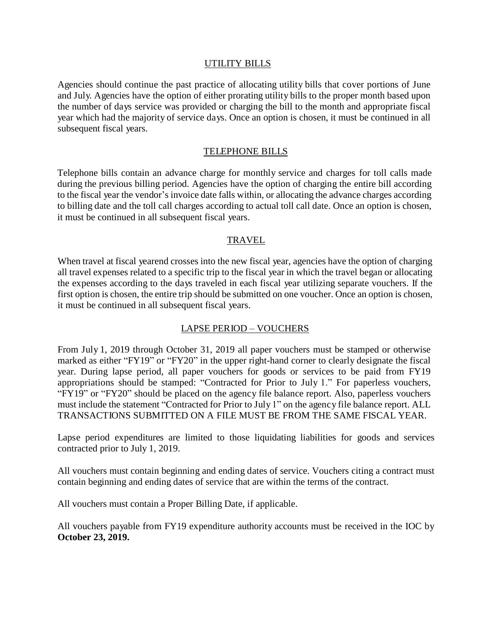#### UTILITY BILLS

Agencies should continue the past practice of allocating utility bills that cover portions of June and July. Agencies have the option of either prorating utility bills to the proper month based upon the number of days service was provided or charging the bill to the month and appropriate fiscal year which had the majority of service days. Once an option is chosen, it must be continued in all subsequent fiscal years.

#### TELEPHONE BILLS

Telephone bills contain an advance charge for monthly service and charges for toll calls made during the previous billing period. Agencies have the option of charging the entire bill according to the fiscal year the vendor's invoice date falls within, or allocating the advance charges according to billing date and the toll call charges according to actual toll call date. Once an option is chosen, it must be continued in all subsequent fiscal years.

### TRAVEL

When travel at fiscal yearend crosses into the new fiscal year, agencies have the option of charging all travel expenses related to a specific trip to the fiscal year in which the travel began or allocating the expenses according to the days traveled in each fiscal year utilizing separate vouchers. If the first option is chosen, the entire trip should be submitted on one voucher. Once an option is chosen, it must be continued in all subsequent fiscal years.

### LAPSE PERIOD – VOUCHERS

From July 1, 2019 through October 31, 2019 all paper vouchers must be stamped or otherwise marked as either "FY19" or "FY20" in the upper right-hand corner to clearly designate the fiscal year. During lapse period, all paper vouchers for goods or services to be paid from FY19 appropriations should be stamped: "Contracted for Prior to July 1." For paperless vouchers, "FY19" or "FY20" should be placed on the agency file balance report. Also, paperless vouchers must include the statement "Contracted for Prior to July 1" on the agency file balance report. ALL TRANSACTIONS SUBMITTED ON A FILE MUST BE FROM THE SAME FISCAL YEAR.

Lapse period expenditures are limited to those liquidating liabilities for goods and services contracted prior to July 1, 2019.

All vouchers must contain beginning and ending dates of service. Vouchers citing a contract must contain beginning and ending dates of service that are within the terms of the contract.

All vouchers must contain a Proper Billing Date, if applicable.

All vouchers payable from FY19 expenditure authority accounts must be received in the IOC by **October 23, 2019.**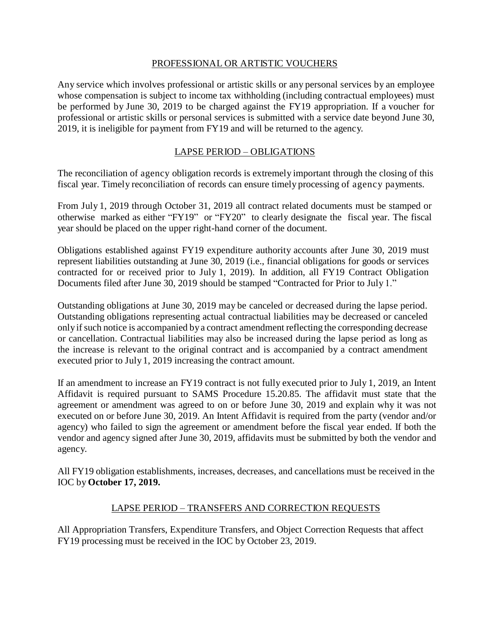### PROFESSIONAL OR ARTISTIC VOUCHERS

Any service which involves professional or artistic skills or any personal services by an employee whose compensation is subject to income tax withholding (including contractual employees) must be performed by June 30, 2019 to be charged against the FY19 appropriation. If a voucher for professional or artistic skills or personal services is submitted with a service date beyond June 30, 2019, it is ineligible for payment from FY19 and will be returned to the agency.

### LAPSE PERIOD – OBLIGATIONS

The reconciliation of agency obligation records is extremely important through the closing of this fiscal year. Timely reconciliation of records can ensure timely processing of agency payments.

From July 1, 2019 through October 31, 2019 all contract related documents must be stamped or otherwise marked as either "FY19" or "FY20" to clearly designate the fiscal year. The fiscal year should be placed on the upper right-hand corner of the document.

Obligations established against FY19 expenditure authority accounts after June 30, 2019 must represent liabilities outstanding at June 30, 2019 (i.e., financial obligations for goods or services contracted for or received prior to July 1, 2019). In addition, all FY19 Contract Obligation Documents filed after June 30, 2019 should be stamped "Contracted for Prior to July 1."

Outstanding obligations at June 30, 2019 may be canceled or decreased during the lapse period. Outstanding obligations representing actual contractual liabilities may be decreased or canceled onlyifsuch notice is accompanied by a contract amendment reflecting the corresponding decrease or cancellation. Contractual liabilities may also be increased during the lapse period as long as the increase is relevant to the original contract and is accompanied by a contract amendment executed prior to July 1, 2019 increasing the contract amount.

If an amendment to increase an FY19 contract is not fully executed prior to July 1, 2019, an Intent Affidavit is required pursuant to SAMS Procedure 15.20.85. The affidavit must state that the agreement or amendment was agreed to on or before June 30, 2019 and explain why it was not executed on or before June 30, 2019. An Intent Affidavit is required from the party (vendor and/or agency) who failed to sign the agreement or amendment before the fiscal year ended. If both the vendor and agency signed after June 30, 2019, affidavits must be submitted by both the vendor and agency.

All FY19 obligation establishments, increases, decreases, and cancellations must be received in the IOC by **October 17, 2019.**

### LAPSE PERIOD – TRANSFERS AND CORRECTION REQUESTS

All Appropriation Transfers, Expenditure Transfers, and Object Correction Requests that affect FY19 processing must be received in the IOC by October 23, 2019.